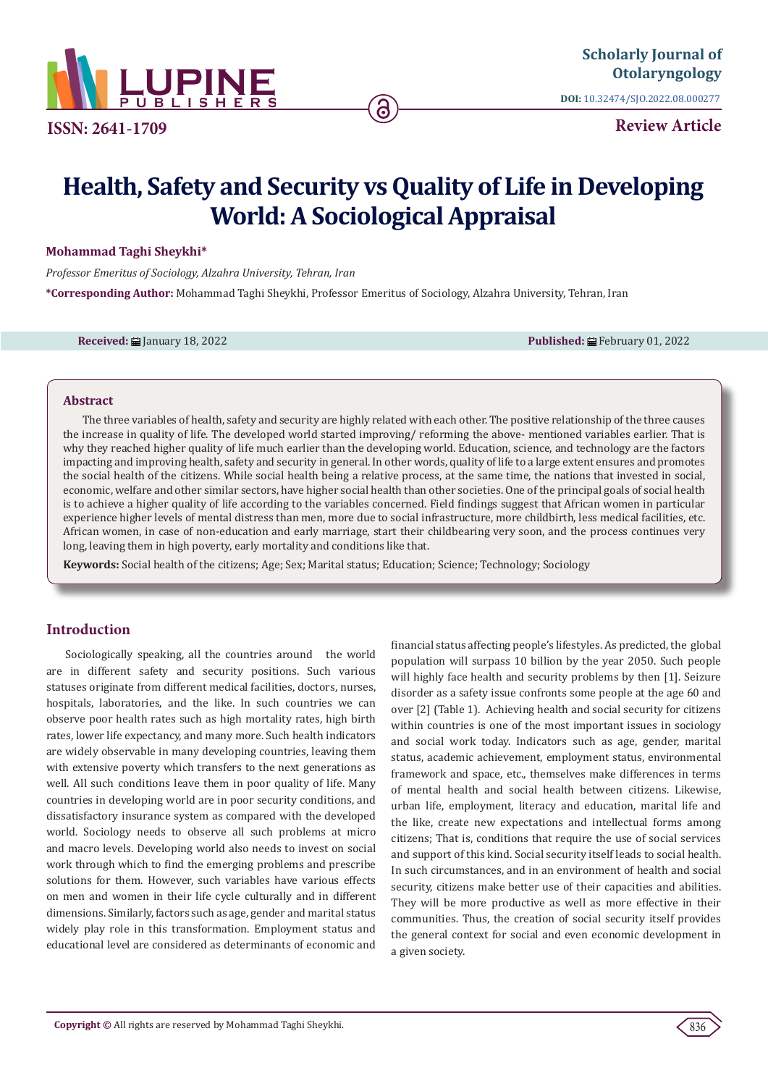

**ISSN: 2641-1709**

**DOI:** [10.32474/SJO.2022.08.00027](http://dx.doi.org/10.32474/SJO.2022.08.000277)7

**Review Article**

# **Health, Safety and Security vs Quality of Life in Developing World: A Sociological Appraisal**

**Mohammad Taghi Sheykhi\***

*Professor Emeritus of Sociology, Alzahra University, Tehran, Iran*  **\*Corresponding Author:** Mohammad Taghi Sheykhi, Professor Emeritus of Sociology, Alzahra University, Tehran, Iran

**Received:** January 18, 2022 **Published:** February 01, 2022

## **Abstract**

The three variables of health, safety and security are highly related with each other. The positive relationship of the three causes the increase in quality of life. The developed world started improving/ reforming the above- mentioned variables earlier. That is why they reached higher quality of life much earlier than the developing world. Education, science, and technology are the factors impacting and improving health, safety and security in general. In other words, quality of life to a large extent ensures and promotes the social health of the citizens. While social health being a relative process, at the same time, the nations that invested in social, economic, welfare and other similar sectors, have higher social health than other societies. One of the principal goals of social health is to achieve a higher quality of life according to the variables concerned. Field findings suggest that African women in particular experience higher levels of mental distress than men, more due to social infrastructure, more childbirth, less medical facilities, etc. African women, in case of non-education and early marriage, start their childbearing very soon, and the process continues very long, leaving them in high poverty, early mortality and conditions like that.

**Keywords:** Social health of the citizens; Age; Sex; Marital status; Education; Science; Technology; Sociology

## **Introduction**

Sociologically speaking, all the countries around the world are in different safety and security positions. Such various statuses originate from different medical facilities, doctors, nurses, hospitals, laboratories, and the like. In such countries we can observe poor health rates such as high mortality rates, high birth rates, lower life expectancy, and many more. Such health indicators are widely observable in many developing countries, leaving them with extensive poverty which transfers to the next generations as well. All such conditions leave them in poor quality of life. Many countries in developing world are in poor security conditions, and dissatisfactory insurance system as compared with the developed world. Sociology needs to observe all such problems at micro and macro levels. Developing world also needs to invest on social work through which to find the emerging problems and prescribe solutions for them. However, such variables have various effects on men and women in their life cycle culturally and in different dimensions. Similarly, factors such as age, gender and marital status widely play role in this transformation. Employment status and educational level are considered as determinants of economic and financial status affecting people's lifestyles. As predicted, the global population will surpass 10 billion by the year 2050. Such people will highly face health and security problems by then [1]. Seizure disorder as a safety issue confronts some people at the age 60 and over [2] (Table 1). Achieving health and social security for citizens within countries is one of the most important issues in sociology and social work today. Indicators such as age, gender, marital status, academic achievement, employment status, environmental framework and space, etc., themselves make differences in terms of mental health and social health between citizens. Likewise, urban life, employment, literacy and education, marital life and the like, create new expectations and intellectual forms among citizens; That is, conditions that require the use of social services and support of this kind. Social security itself leads to social health. In such circumstances, and in an environment of health and social security, citizens make better use of their capacities and abilities. They will be more productive as well as more effective in their communities. Thus, the creation of social security itself provides the general context for social and even economic development in a given society.

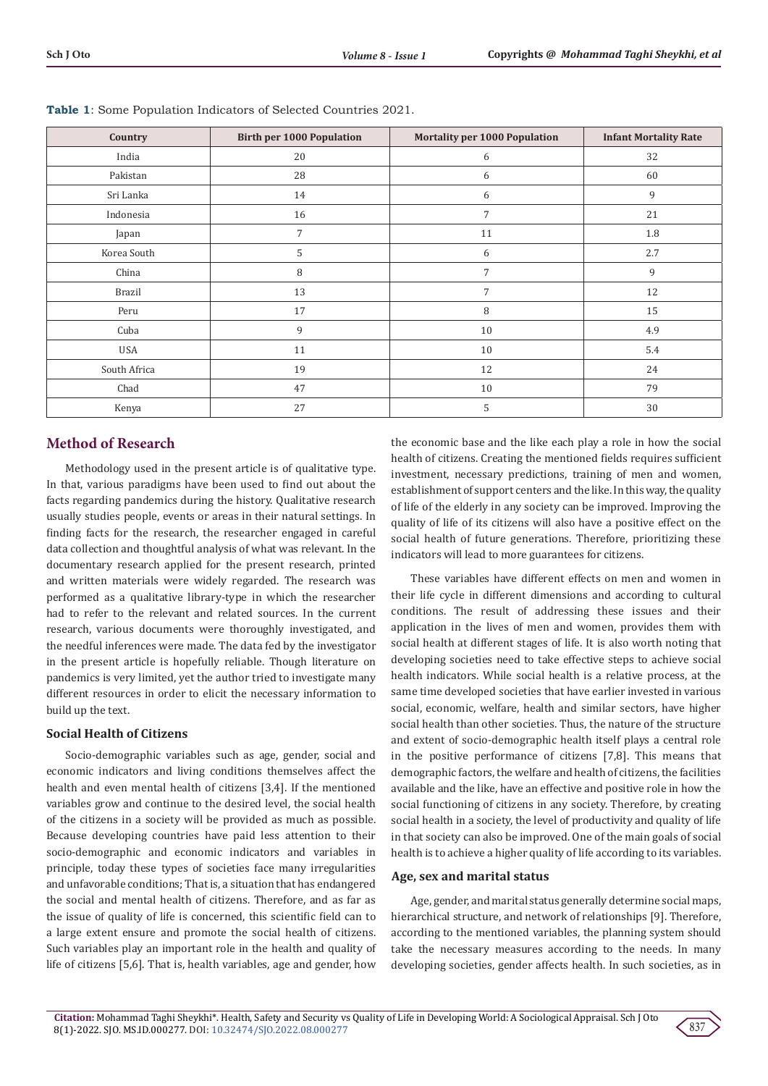| Country       | <b>Birth per 1000 Population</b> | <b>Mortality per 1000 Population</b> | <b>Infant Mortality Rate</b> |
|---------------|----------------------------------|--------------------------------------|------------------------------|
| India         | 20                               | 6                                    | 32                           |
| Pakistan      | 28                               | 6                                    | 60                           |
| Sri Lanka     | 14                               | 6                                    | 9                            |
| Indonesia     | 16                               | 7                                    | 21                           |
| Japan         | 7                                | 11                                   | 1.8                          |
| Korea South   | 5                                | 6                                    | 2.7                          |
| China         | 8                                | 7                                    | 9                            |
| <b>Brazil</b> | 13                               | 7                                    | 12                           |
| Peru          | 17                               | 8                                    | 15                           |
| Cuba          | 9                                | 10                                   | 4.9                          |
| <b>USA</b>    | 11                               | 10                                   | 5.4                          |
| South Africa  | 19                               | 12                                   | 24                           |
| Chad          | 47                               | 10                                   | 79                           |
| Kenya         | 27                               | 5                                    | 30                           |

**Table 1**: Some Population Indicators of Selected Countries 2021.

# **Method of Research**

Methodology used in the present article is of qualitative type. In that, various paradigms have been used to find out about the facts regarding pandemics during the history. Qualitative research usually studies people, events or areas in their natural settings. In finding facts for the research, the researcher engaged in careful data collection and thoughtful analysis of what was relevant. In the documentary research applied for the present research, printed and written materials were widely regarded. The research was performed as a qualitative library-type in which the researcher had to refer to the relevant and related sources. In the current research, various documents were thoroughly investigated, and the needful inferences were made. The data fed by the investigator in the present article is hopefully reliable. Though literature on pandemics is very limited, yet the author tried to investigate many different resources in order to elicit the necessary information to build up the text.

## **Social Health of Citizens**

Socio-demographic variables such as age, gender, social and economic indicators and living conditions themselves affect the health and even mental health of citizens [3,4]. If the mentioned variables grow and continue to the desired level, the social health of the citizens in a society will be provided as much as possible. Because developing countries have paid less attention to their socio-demographic and economic indicators and variables in principle, today these types of societies face many irregularities and unfavorable conditions; That is, a situation that has endangered the social and mental health of citizens. Therefore, and as far as the issue of quality of life is concerned, this scientific field can to a large extent ensure and promote the social health of citizens. Such variables play an important role in the health and quality of life of citizens [5,6]. That is, health variables, age and gender, how

the economic base and the like each play a role in how the social health of citizens. Creating the mentioned fields requires sufficient investment, necessary predictions, training of men and women, establishment of support centers and the like. In this way, the quality of life of the elderly in any society can be improved. Improving the quality of life of its citizens will also have a positive effect on the social health of future generations. Therefore, prioritizing these indicators will lead to more guarantees for citizens.

These variables have different effects on men and women in their life cycle in different dimensions and according to cultural conditions. The result of addressing these issues and their application in the lives of men and women, provides them with social health at different stages of life. It is also worth noting that developing societies need to take effective steps to achieve social health indicators. While social health is a relative process, at the same time developed societies that have earlier invested in various social, economic, welfare, health and similar sectors, have higher social health than other societies. Thus, the nature of the structure and extent of socio-demographic health itself plays a central role in the positive performance of citizens [7,8]. This means that demographic factors, the welfare and health of citizens, the facilities available and the like, have an effective and positive role in how the social functioning of citizens in any society. Therefore, by creating social health in a society, the level of productivity and quality of life in that society can also be improved. One of the main goals of social health is to achieve a higher quality of life according to its variables.

## **Age, sex and marital status**

Age, gender, and marital status generally determine social maps, hierarchical structure, and network of relationships [9]. Therefore, according to the mentioned variables, the planning system should take the necessary measures according to the needs. In many developing societies, gender affects health. In such societies, as in

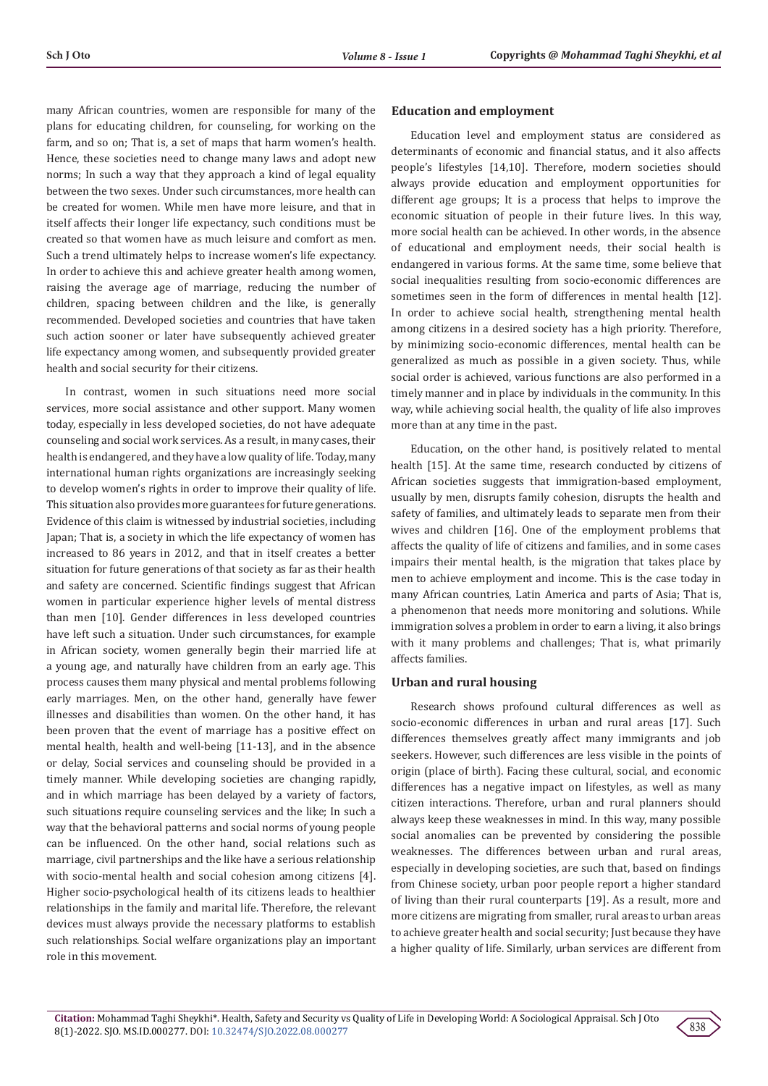many African countries, women are responsible for many of the plans for educating children, for counseling, for working on the farm, and so on; That is, a set of maps that harm women's health. Hence, these societies need to change many laws and adopt new norms; In such a way that they approach a kind of legal equality between the two sexes. Under such circumstances, more health can be created for women. While men have more leisure, and that in itself affects their longer life expectancy, such conditions must be created so that women have as much leisure and comfort as men. Such a trend ultimately helps to increase women's life expectancy. In order to achieve this and achieve greater health among women, raising the average age of marriage, reducing the number of children, spacing between children and the like, is generally recommended. Developed societies and countries that have taken such action sooner or later have subsequently achieved greater life expectancy among women, and subsequently provided greater health and social security for their citizens.

In contrast, women in such situations need more social services, more social assistance and other support. Many women today, especially in less developed societies, do not have adequate counseling and social work services. As a result, in many cases, their health is endangered, and they have a low quality of life. Today, many international human rights organizations are increasingly seeking to develop women's rights in order to improve their quality of life. This situation also provides more guarantees for future generations. Evidence of this claim is witnessed by industrial societies, including Japan; That is, a society in which the life expectancy of women has increased to 86 years in 2012, and that in itself creates a better situation for future generations of that society as far as their health and safety are concerned. Scientific findings suggest that African women in particular experience higher levels of mental distress than men [10]. Gender differences in less developed countries have left such a situation. Under such circumstances, for example in African society, women generally begin their married life at a young age, and naturally have children from an early age. This process causes them many physical and mental problems following early marriages. Men, on the other hand, generally have fewer illnesses and disabilities than women. On the other hand, it has been proven that the event of marriage has a positive effect on mental health, health and well-being [11-13], and in the absence or delay, Social services and counseling should be provided in a timely manner. While developing societies are changing rapidly, and in which marriage has been delayed by a variety of factors, such situations require counseling services and the like; In such a way that the behavioral patterns and social norms of young people can be influenced. On the other hand, social relations such as marriage, civil partnerships and the like have a serious relationship with socio-mental health and social cohesion among citizens [4]. Higher socio-psychological health of its citizens leads to healthier relationships in the family and marital life. Therefore, the relevant devices must always provide the necessary platforms to establish such relationships. Social welfare organizations play an important role in this movement.

#### **Education and employment**

Education level and employment status are considered as determinants of economic and financial status, and it also affects people's lifestyles [14,10]. Therefore, modern societies should always provide education and employment opportunities for different age groups; It is a process that helps to improve the economic situation of people in their future lives. In this way, more social health can be achieved. In other words, in the absence of educational and employment needs, their social health is endangered in various forms. At the same time, some believe that social inequalities resulting from socio-economic differences are sometimes seen in the form of differences in mental health [12]. In order to achieve social health, strengthening mental health among citizens in a desired society has a high priority. Therefore, by minimizing socio-economic differences, mental health can be generalized as much as possible in a given society. Thus, while social order is achieved, various functions are also performed in a timely manner and in place by individuals in the community. In this way, while achieving social health, the quality of life also improves more than at any time in the past.

Education, on the other hand, is positively related to mental health [15]. At the same time, research conducted by citizens of African societies suggests that immigration-based employment, usually by men, disrupts family cohesion, disrupts the health and safety of families, and ultimately leads to separate men from their wives and children [16]. One of the employment problems that affects the quality of life of citizens and families, and in some cases impairs their mental health, is the migration that takes place by men to achieve employment and income. This is the case today in many African countries, Latin America and parts of Asia; That is, a phenomenon that needs more monitoring and solutions. While immigration solves a problem in order to earn a living, it also brings with it many problems and challenges; That is, what primarily affects families.

#### **Urban and rural housing**

Research shows profound cultural differences as well as socio-economic differences in urban and rural areas [17]. Such differences themselves greatly affect many immigrants and job seekers. However, such differences are less visible in the points of origin (place of birth). Facing these cultural, social, and economic differences has a negative impact on lifestyles, as well as many citizen interactions. Therefore, urban and rural planners should always keep these weaknesses in mind. In this way, many possible social anomalies can be prevented by considering the possible weaknesses. The differences between urban and rural areas, especially in developing societies, are such that, based on findings from Chinese society, urban poor people report a higher standard of living than their rural counterparts [19]. As a result, more and more citizens are migrating from smaller, rural areas to urban areas to achieve greater health and social security; Just because they have a higher quality of life. Similarly, urban services are different from

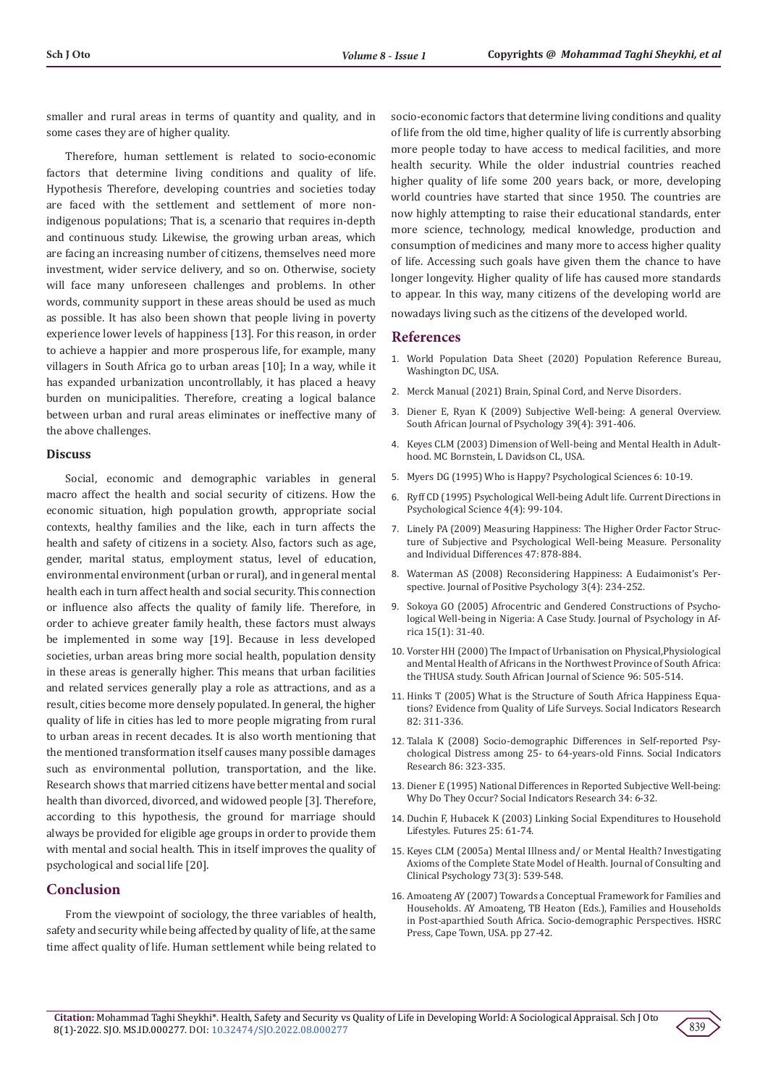smaller and rural areas in terms of quantity and quality, and in some cases they are of higher quality.

Therefore, human settlement is related to socio-economic factors that determine living conditions and quality of life. Hypothesis Therefore, developing countries and societies today are faced with the settlement and settlement of more nonindigenous populations; That is, a scenario that requires in-depth and continuous study. Likewise, the growing urban areas, which are facing an increasing number of citizens, themselves need more investment, wider service delivery, and so on. Otherwise, society will face many unforeseen challenges and problems. In other words, community support in these areas should be used as much as possible. It has also been shown that people living in poverty experience lower levels of happiness [13]. For this reason, in order to achieve a happier and more prosperous life, for example, many villagers in South Africa go to urban areas [10]; In a way, while it has expanded urbanization uncontrollably, it has placed a heavy burden on municipalities. Therefore, creating a logical balance between urban and rural areas eliminates or ineffective many of the above challenges.

#### **Discuss**

Social, economic and demographic variables in general macro affect the health and social security of citizens. How the economic situation, high population growth, appropriate social contexts, healthy families and the like, each in turn affects the health and safety of citizens in a society. Also, factors such as age, gender, marital status, employment status, level of education, environmental environment (urban or rural), and in general mental health each in turn affect health and social security. This connection or influence also affects the quality of family life. Therefore, in order to achieve greater family health, these factors must always be implemented in some way [19]. Because in less developed societies, urban areas bring more social health, population density in these areas is generally higher. This means that urban facilities and related services generally play a role as attractions, and as a result, cities become more densely populated. In general, the higher quality of life in cities has led to more people migrating from rural to urban areas in recent decades. It is also worth mentioning that the mentioned transformation itself causes many possible damages such as environmental pollution, transportation, and the like. Research shows that married citizens have better mental and social health than divorced, divorced, and widowed people [3]. Therefore, according to this hypothesis, the ground for marriage should always be provided for eligible age groups in order to provide them with mental and social health. This in itself improves the quality of psychological and social life [20].

### **Conclusion**

From the viewpoint of sociology, the three variables of health, safety and security while being affected by quality of life, at the same time affect quality of life. Human settlement while being related to

socio-economic factors that determine living conditions and quality of life from the old time, higher quality of life is currently absorbing more people today to have access to medical facilities, and more health security. While the older industrial countries reached higher quality of life some 200 years back, or more, developing world countries have started that since 1950. The countries are now highly attempting to raise their educational standards, enter more science, technology, medical knowledge, production and consumption of medicines and many more to access higher quality of life. Accessing such goals have given them the chance to have longer longevity. Higher quality of life has caused more standards to appear. In this way, many citizens of the developing world are nowadays living such as the citizens of the developed world.

#### **References**

- 1. World Population Data Sheet (2020) Population Reference Bureau, Washington DC, USA.
- 2. Merck Manual (2021) Brain, Spinal Cord, and Nerve Disorders.
- 3. Diener E, Ryan K (2009) Subjective Well-being: A general Overview. South African Journal of Psychology 39(4): 391-406.
- 4. Keyes CLM (2003) Dimension of Well-being and Mental Health in Adulthood. MC Bornstein, L Davidson CL, USA.
- 5. Myers DG (1995) Who is Happy? Psychological Sciences 6: 10-19.
- 6. Ryff CD (1995) Psychological Well-being Adult life. Current Directions in Psychological Science 4(4): 99-104.
- 7. Linely PA (2009) Measuring Happiness: The Higher Order Factor Structure of Subjective and Psychological Well-being Measure. Personality and Individual Differences 47: 878-884.
- 8. Waterman AS (2008) Reconsidering Happiness: A Eudaimonist's Perspective. Journal of Positive Psychology 3(4): 234-252.
- 9. Sokoya GO (2005) Afrocentric and Gendered Constructions of Psychological Well-being in Nigeria: A Case Study. Journal of Psychology in Africa 15(1): 31-40.
- 10. Vorster HH (2000) The Impact of Urbanisation on Physical,Physiological and Mental Health of Africans in the Northwest Province of South Africa: the THUSA study. South African Journal of Science 96: 505-514.
- 11. Hinks T (2005) What is the Structure of South Africa Happiness Equations? Evidence from Quality of Life Surveys. Social Indicators Research 82: 311-336.
- 12. Talala K (2008) Socio-demographic Differences in Self-reported Psychological Distress among 25- to 64-years-old Finns. Social Indicators Research 86: 323-335.
- 13. Diener E (1995) National Differences in Reported Subjective Well-being: Why Do They Occur? Social Indicators Research 34: 6-32.
- 14. Duchin F, Hubacek K (2003) Linking Social Expenditures to Household Lifestyles. Futures 25: 61-74.
- 15. Keyes CLM (2005a) Mental Illness and/ or Mental Health? Investigating Axioms of the Complete State Model of Health. Journal of Consulting and Clinical Psychology 73(3): 539-548.
- 16. Amoateng AY (2007) Towards a Conceptual Framework for Families and Households. AY Amoateng, TB Heaton (Eds.), Families and Households in Post-aparthied South Africa. Socio-demographic Perspectives. HSRC Press, Cape Town, USA. pp 27-42.